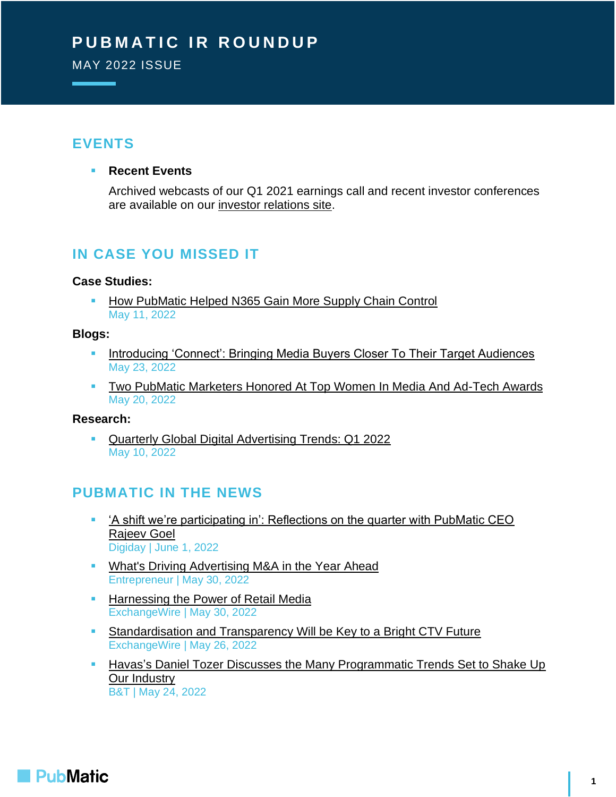# **PUBMATIC IR ROUNDUP**

MAY 2022 ISSUE

### **EVENTS**

#### ▪ **Recent Events**

Archived webcasts of our Q1 2021 earnings call and recent investor conferences are available on our [investor relations site.](https://investors.pubmatic.com/news-events/investor-calendar)

## **IN CASE YOU MISSED IT**

#### **Case Studies:**

[How PubMatic Helped N365 Gain More Supply Chain Control](https://pubmatic.com/case-studies/pubmatic-helped-n365-gain-supply-chain-control/) May 11, 2022

#### **Blogs:**

- **[Introducing 'Connect': Bringing Media Buyers Closer To Their Target Audiences](https://pubmatic.com/blog/introducing-connect-bringing-media-buyers-closer-to-their-target-audiences/)** May 23, 2022
- [Two PubMatic Marketers Honored At Top Women In Media And Ad-Tech Awards](https://pubmatic.com/blog/two-pubmatic-marketers-honored-at-top-women-in-media-and-ad-tech-awards/) May 20, 2022

#### **Research:**

[Quarterly Global Digital Advertising Trends: Q1 2022](https://pubmatic.com/reports/quarterly-global-digital-advertising-spend-trends-q1-2022/) May 10, 2022

### **PUBMATIC IN THE NEWS**

- ['A shift we're participating in': Reflections on the quarter with PubMatic CEO](https://digiday.com/marketing/a-shift-were-participating-in-reflections-on-the-quarter-with-pubmatic-ceo-rajeev-goel/)  [Rajeev Goel](https://digiday.com/marketing/a-shift-were-participating-in-reflections-on-the-quarter-with-pubmatic-ceo-rajeev-goel/) Digiday | June 1, 2022
- **[What's Driving Advertising M&A in the Year Ahead](https://www.entrepreneur.com/article/426681)** Entrepreneur | May 30, 2022
- **E** [Harnessing the Power of Retail Media](https://www.exchangewire.com/blog/2022/05/30/harnessing-the-power-of-retail-media/) ExchangeWire | May 30, 2022
- **EXECTADE EXECTADE IS STANDARD STANDED STANDARD STANDARD STANDARD STANDARD STANDARD STANDARD STANDARD STANDARD STANDARD STANDARD STANDARD STANDARD STANDARD STANDARD STANDARD STANDARD STANDARD STANDARD STANDARD STANDARD STA** ExchangeWire | May 26, 2022
- **EXTERGH** Havas's Daniel Tozer Discusses the Many Programmatic Trends Set to Shake Up [Our Industry](https://www.bandt.com.au/havas-daniel-tozer-discusses-the-many-programmatic-trends-set-to-shake-our-industry/) B&T | May 24, 2022